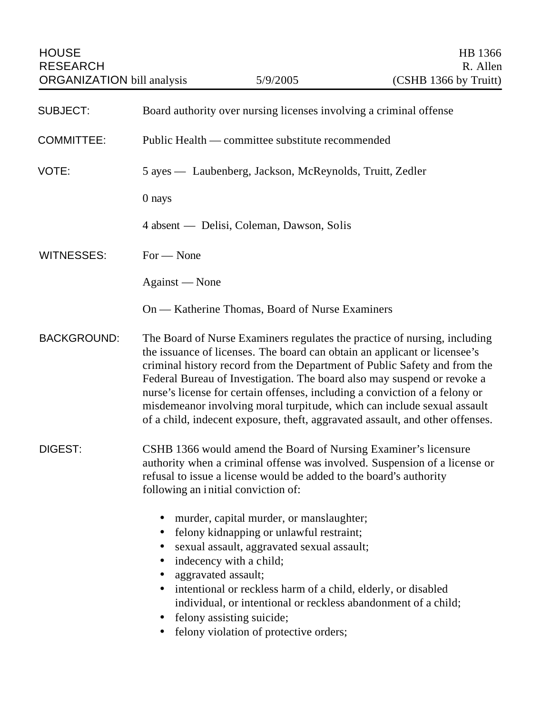| <b>SUBJECT:</b>    | Board authority over nursing licenses involving a criminal offense                                                                                                                                                                                                                                                                                                                                                                                                                                                                                        |
|--------------------|-----------------------------------------------------------------------------------------------------------------------------------------------------------------------------------------------------------------------------------------------------------------------------------------------------------------------------------------------------------------------------------------------------------------------------------------------------------------------------------------------------------------------------------------------------------|
| <b>COMMITTEE:</b>  | Public Health — committee substitute recommended                                                                                                                                                                                                                                                                                                                                                                                                                                                                                                          |
| VOTE:              | 5 ayes — Laubenberg, Jackson, McReynolds, Truitt, Zedler                                                                                                                                                                                                                                                                                                                                                                                                                                                                                                  |
|                    | 0 nays                                                                                                                                                                                                                                                                                                                                                                                                                                                                                                                                                    |
|                    | 4 absent — Delisi, Coleman, Dawson, Solis                                                                                                                                                                                                                                                                                                                                                                                                                                                                                                                 |
| <b>WITNESSES:</b>  | $For - None$                                                                                                                                                                                                                                                                                                                                                                                                                                                                                                                                              |
|                    | Against — None                                                                                                                                                                                                                                                                                                                                                                                                                                                                                                                                            |
|                    | On — Katherine Thomas, Board of Nurse Examiners                                                                                                                                                                                                                                                                                                                                                                                                                                                                                                           |
| <b>BACKGROUND:</b> | The Board of Nurse Examiners regulates the practice of nursing, including<br>the issuance of licenses. The board can obtain an applicant or licensee's<br>criminal history record from the Department of Public Safety and from the<br>Federal Bureau of Investigation. The board also may suspend or revoke a<br>nurse's license for certain offenses, including a conviction of a felony or<br>misdemeanor involving moral turpitude, which can include sexual assault<br>of a child, indecent exposure, theft, aggravated assault, and other offenses. |
| <b>DIGEST:</b>     | CSHB 1366 would amend the Board of Nursing Examiner's licensure<br>authority when a criminal offense was involved. Suspension of a license or<br>refusal to issue a license would be added to the board's authority<br>following an initial conviction of:                                                                                                                                                                                                                                                                                                |
|                    | murder, capital murder, or manslaughter;<br>felony kidnapping or unlawful restraint;<br>sexual assault, aggravated sexual assault;<br>$\bullet$<br>indecency with a child;<br>aggravated assault;<br>intentional or reckless harm of a child, elderly, or disabled<br>$\bullet$<br>individual, or intentional or reckless abandonment of a child;<br>felony assisting suicide;<br>$\bullet$<br>felony violation of protective orders;                                                                                                                     |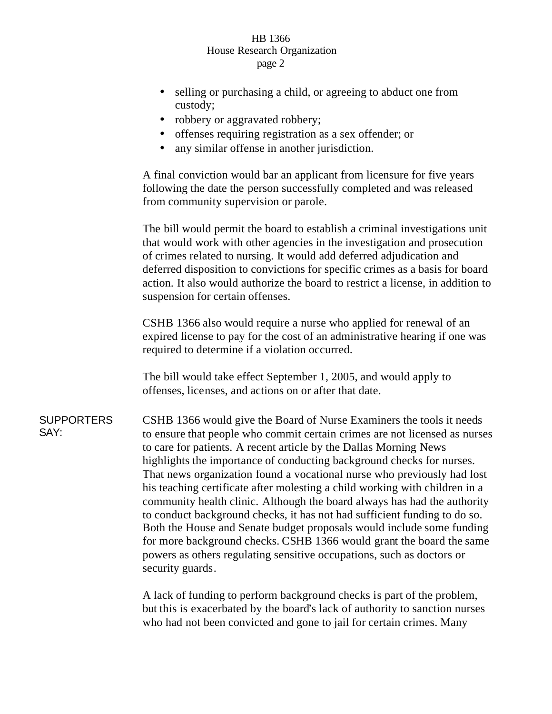## HB 1366 House Research Organization page 2

- selling or purchasing a child, or agreeing to abduct one from custody;
- robbery or aggravated robbery;
- offenses requiring registration as a sex offender; or
- any similar offense in another jurisdiction.

A final conviction would bar an applicant from licensure for five years following the date the person successfully completed and was released from community supervision or parole.

The bill would permit the board to establish a criminal investigations unit that would work with other agencies in the investigation and prosecution of crimes related to nursing. It would add deferred adjudication and deferred disposition to convictions for specific crimes as a basis for board action. It also would authorize the board to restrict a license, in addition to suspension for certain offenses.

CSHB 1366 also would require a nurse who applied for renewal of an expired license to pay for the cost of an administrative hearing if one was required to determine if a violation occurred.

The bill would take effect September 1, 2005, and would apply to offenses, licenses, and actions on or after that date.

**SUPPORTERS** SAY: CSHB 1366 would give the Board of Nurse Examiners the tools it needs to ensure that people who commit certain crimes are not licensed as nurses to care for patients. A recent article by the Dallas Morning News highlights the importance of conducting background checks for nurses. That news organization found a vocational nurse who previously had lost his teaching certificate after molesting a child working with children in a community health clinic. Although the board always has had the authority to conduct background checks, it has not had sufficient funding to do so. Both the House and Senate budget proposals would include some funding for more background checks. CSHB 1366 would grant the board the same powers as others regulating sensitive occupations, such as doctors or security guards.

> A lack of funding to perform background checks is part of the problem, but this is exacerbated by the board's lack of authority to sanction nurses who had not been convicted and gone to jail for certain crimes. Many